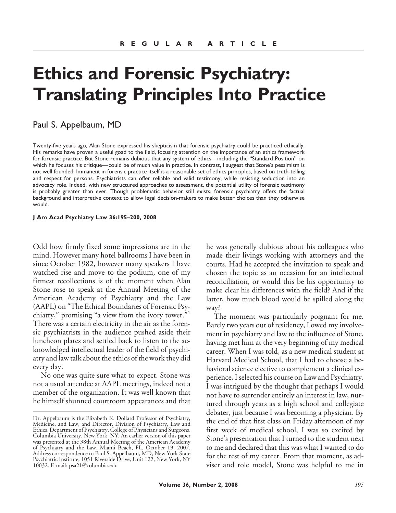# **Ethics and Forensic Psychiatry: Translating Principles Into Practice**

## Paul S. Appelbaum, MD

Twenty-five years ago, Alan Stone expressed his skepticism that forensic psychiatry could be practiced ethically. His remarks have proven a useful goad to the field, focusing attention on the importance of an ethics framework for forensic practice. But Stone remains dubious that any system of ethics—including the "Standard Position" on which he focuses his critique— could be of much value in practice. In contrast, I suggest that Stone's pessimism is not well founded. Immanent in forensic practice itself is a reasonable set of ethics principles, based on truth-telling and respect for persons. Psychiatrists can offer reliable and valid testimony, while resisting seduction into an advocacy role. Indeed, with new structured approaches to assessment, the potential utility of forensic testimony is probably greater than ever. Though problematic behavior still exists, forensic psychiatry offers the factual background and interpretive context to allow legal decision-makers to make better choices than they otherwise would.

#### **J Am Acad Psychiatry Law 36:195–200, 2008**

Odd how firmly fixed some impressions are in the mind. However many hotel ballrooms I have been in since October 1982, however many speakers I have watched rise and move to the podium, one of my firmest recollections is of the moment when Alan Stone rose to speak at the Annual Meeting of the American Academy of Psychiatry and the Law (AAPL) on "The Ethical Boundaries of Forensic Psychiatry," promising "a view from the ivory tower."<sup>1</sup> There was a certain electricity in the air as the forensic psychiatrists in the audience pushed aside their luncheon plates and settled back to listen to the acknowledged intellectual leader of the field of psychiatry and law talk about the ethics of the work they did every day.

No one was quite sure what to expect. Stone was not a usual attendee at AAPL meetings, indeed not a member of the organization. It was well known that he himself shunned courtroom appearances and that he was generally dubious about his colleagues who made their livings working with attorneys and the courts. Had he accepted the invitation to speak and chosen the topic as an occasion for an intellectual reconciliation, or would this be his opportunity to make clear his differences with the field? And if the latter, how much blood would be spilled along the way?

The moment was particularly poignant for me. Barely two years out of residency, I owed my involvement in psychiatry and law to the influence of Stone, having met him at the very beginning of my medical career. When I was told, as a new medical student at Harvard Medical School, that I had to choose a behavioral science elective to complement a clinical experience, I selected his course on Law and Psychiatry. I was intrigued by the thought that perhaps I would not have to surrender entirely an interest in law, nurtured through years as a high school and collegiate debater, just because I was becoming a physician. By the end of that first class on Friday afternoon of my first week of medical school, I was so excited by Stone's presentation that I turned to the student next to me and declared that this was what I wanted to do for the rest of my career. From that moment, as adviser and role model, Stone was helpful to me in

Dr. Appelbaum is the Elizabeth K. Dollard Professor of Psychiatry, Medicine, and Law, and Director, Division of Psychiatry, Law and Ethics, Department of Psychiatry, College of Physicians and Surgeons, Columbia University, New York, NY. An earlier version of this paper was presented at the 38th Annual Meeting of the American Academy of Psychiatry and the Law, Miami Beach, FL, October 19, 2007. Address correspondence to Paul S. Appelbaum, MD, New York State Psychiatric Institute, 1051 Riverside Drive, Unit 122, New York, NY 10032. E-mail: psa21@columbia.edu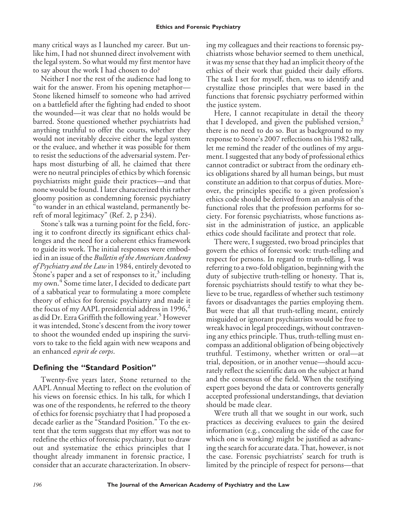many critical ways as I launched my career. But unlike him, I had not shunned direct involvement with the legal system. So what would my first mentor have to say about the work I had chosen to do?

Neither I nor the rest of the audience had long to wait for the answer. From his opening metaphor— Stone likened himself to someone who had arrived on a battlefield after the fighting had ended to shoot the wounded—it was clear that no holds would be barred. Stone questioned whether psychiatrists had anything truthful to offer the courts, whether they would not inevitably deceive either the legal system or the evaluee, and whether it was possible for them to resist the seductions of the adversarial system. Perhaps most disturbing of all, he claimed that there were no neutral principles of ethics by which forensic psychiatrists might guide their practices—and that none would be found. I later characterized this rather gloomy position as condemning forensic psychiatry "to wander in an ethical wasteland, permanently bereft of moral legitimacy" (Ref. 2, p 234).

Stone's talk was a turning point for the field, forcing it to confront directly its significant ethics challenges and the need for a coherent ethics framework to guide its work. The initial responses were embodied in an issue of the *Bulletin of the American Academy of Psychiatry and the Law* in 1984, entirely devoted to Stone's paper and a set of responses to it,<sup>3</sup> including my own.<sup>4</sup> Some time later, I decided to dedicate part of a sabbatical year to formulating a more complete theory of ethics for forensic psychiatry and made it the focus of my AAPL presidential address in  $1996$ ,<sup>2</sup> as did Dr. Ezra Griffith the following year.<sup>5</sup> However it was intended, Stone's descent from the ivory tower to shoot the wounded ended up inspiring the survivors to take to the field again with new weapons and an enhanced *esprit de corps*.

## **Defining the "Standard Position"**

Twenty-five years later, Stone returned to the AAPL Annual Meeting to reflect on the evolution of his views on forensic ethics. In his talk, for which I was one of the respondents, he referred to the theory of ethics for forensic psychiatry that I had proposed a decade earlier as the "Standard Position." To the extent that the term suggests that my effort was not to redefine the ethics of forensic psychiatry, but to draw out and systematize the ethics principles that I thought already immanent in forensic practice, I consider that an accurate characterization. In observing my colleagues and their reactions to forensic psychiatrists whose behavior seemed to them unethical, it was my sense that they had an implicit theory of the ethics of their work that guided their daily efforts. The task I set for myself, then, was to identify and crystallize those principles that were based in the functions that forensic psychiatry performed within the justice system.

Here, I cannot recapitulate in detail the theory that I developed, and given the published version, $<sup>2</sup>$ </sup> there is no need to do so. But as background to my response to Stone's 2007 reflections on his 1982 talk, let me remind the reader of the outlines of my argument. I suggested that any body of professional ethics cannot contradict or subtract from the ordinary ethics obligations shared by all human beings, but must constitute an addition to that corpus of duties. Moreover, the principles specific to a given profession's ethics code should be derived from an analysis of the functional roles that the profession performs for society. For forensic psychiatrists, whose functions assist in the administration of justice, an applicable ethics code should facilitate and protect that role.

There were, I suggested, two broad principles that govern the ethics of forensic work: truth-telling and respect for persons. In regard to truth-telling, I was referring to a two-fold obligation, beginning with the duty of subjective truth-telling or honesty. That is, forensic psychiatrists should testify to what they believe to be true, regardless of whether such testimony favors or disadvantages the parties employing them. But were that all that truth-telling meant, entirely misguided or ignorant psychiatrists would be free to wreak havoc in legal proceedings, without contravening any ethics principle. Thus, truth-telling must encompass an additional obligation of being objectively truthful. Testimony, whether written or oral—at trial, deposition, or in another venue—should accurately reflect the scientific data on the subject at hand and the consensus of the field. When the testifying expert goes beyond the data or controverts generally accepted professional understandings, that deviation should be made clear.

Were truth all that we sought in our work, such practices as deceiving evaluees to gain the desired information (e.g*.*, concealing the side of the case for which one is working) might be justified as advancing the search for accurate data. That, however, is not the case. Forensic psychiatrists' search for truth is limited by the principle of respect for persons—that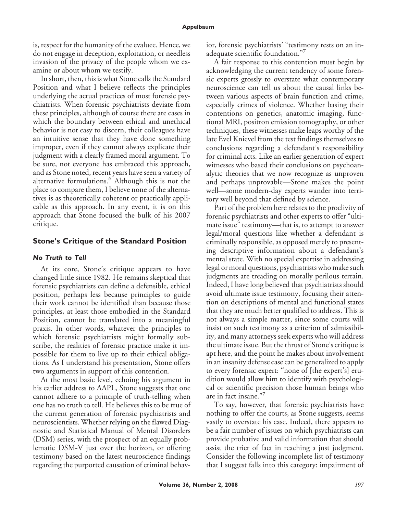is, respect for the humanity of the evaluee. Hence, we do not engage in deception, exploitation, or needless invasion of the privacy of the people whom we examine or about whom we testify.

In short, then, this is what Stone calls the Standard Position and what I believe reflects the principles underlying the actual practices of most forensic psychiatrists. When forensic psychiatrists deviate from these principles, although of course there are cases in which the boundary between ethical and unethical behavior is not easy to discern, their colleagues have an intuitive sense that they have done something improper, even if they cannot always explicate their judgment with a clearly framed moral argument. To be sure, not everyone has embraced this approach, and as Stone noted, recent years have seen a variety of alternative formulations.<sup>6</sup> Although this is not the place to compare them, I believe none of the alternatives is as theoretically coherent or practically applicable as this approach. In any event, it is on this approach that Stone focused the bulk of his 2007 critique.

### **Stone's Critique of the Standard Position**

#### *No Truth to Tell*

At its core, Stone's critique appears to have changed little since 1982. He remains skeptical that forensic psychiatrists can define a defensible, ethical position, perhaps less because principles to guide their work cannot be identified than because those principles, at least those embodied in the Standard Position, cannot be translated into a meaningful praxis. In other words, whatever the principles to which forensic psychiatrists might formally subscribe, the realities of forensic practice make it impossible for them to live up to their ethical obligations. As I understand his presentation, Stone offers two arguments in support of this contention.

At the most basic level, echoing his argument in his earlier address to AAPL, Stone suggests that one cannot adhere to a principle of truth-telling when one has no truth to tell. He believes this to be true of the current generation of forensic psychiatrists and neuroscientists. Whether relying on the flawed Diagnostic and Statistical Manual of Mental Disorders (DSM) series, with the prospect of an equally problematic DSM-V just over the horizon, or offering testimony based on the latest neuroscience findings regarding the purported causation of criminal behavior, forensic psychiatrists' "testimony rests on an inadequate scientific foundation."<sup>7</sup>

A fair response to this contention must begin by acknowledging the current tendency of some forensic experts grossly to overstate what contemporary neuroscience can tell us about the causal links between various aspects of brain function and crime, especially crimes of violence. Whether basing their contentions on genetics, anatomic imaging, functional MRI, positron emission tomography, or other techniques, these witnesses make leaps worthy of the late Evel Knievel from the test findings themselves to conclusions regarding a defendant's responsibility for criminal acts. Like an earlier generation of expert witnesses who based their conclusions on psychoanalytic theories that we now recognize as unproven and perhaps unprovable—Stone makes the point well—some modern-day experts wander into territory well beyond that defined by science.

Part of the problem here relates to the proclivity of forensic psychiatrists and other experts to offer "ultimate issue" testimony—that is, to attempt to answer legal/moral questions like whether a defendant is criminally responsible, as opposed merely to presenting descriptive information about a defendant's mental state. With no special expertise in addressing legal or moral questions, psychiatrists who make such judgments are treading on morally perilous terrain. Indeed, I have long believed that psychiatrists should avoid ultimate issue testimony, focusing their attention on descriptions of mental and functional states that they are much better qualified to address. This is not always a simple matter, since some courts will insist on such testimony as a criterion of admissibility, and many attorneys seek experts who will address the ultimate issue. But the thrust of Stone's critique is apt here, and the point he makes about involvement in an insanity defense case can be generalized to apply to every forensic expert: "none of [the expert's] erudition would allow him to identify with psychological or scientific precision those human beings who are in fact insane." $\frac{3}{7}$ 

To say, however, that forensic psychiatrists have nothing to offer the courts, as Stone suggests, seems vastly to overstate his case. Indeed, there appears to be a fair number of issues on which psychiatrists can provide probative and valid information that should assist the trier of fact in reaching a just judgment. Consider the following incomplete list of testimony that I suggest falls into this category: impairment of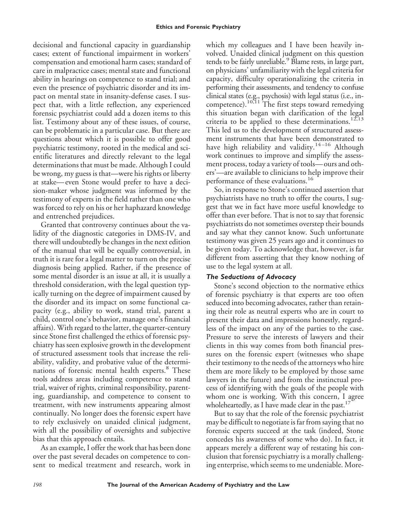decisional and functional capacity in guardianship cases; extent of functional impairment in workers' compensation and emotional harm cases; standard of care in malpractice cases; mental state and functional ability in hearings on competence to stand trial; and even the presence of psychiatric disorder and its impact on mental state in insanity-defense cases. I suspect that, with a little reflection, any experienced forensic psychiatrist could add a dozen items to this list. Testimony about any of these issues, of course, can be problematic in a particular case. But there are questions about which it is possible to offer good psychiatric testimony, rooted in the medical and scientific literatures and directly relevant to the legal determinations that must be made. Although I could be wrong, my guess is that—were his rights or liberty at stake— even Stone would prefer to have a decision-maker whose judgment was informed by the testimony of experts in the field rather than one who was forced to rely on his or her haphazard knowledge and entrenched prejudices.

Granted that controversy continues about the validity of the diagnostic categories in DMS-IV, and there will undoubtedly be changes in the next edition of the manual that will be equally controversial, in truth it is rare for a legal matter to turn on the precise diagnosis being applied. Rather, if the presence of some mental disorder is an issue at all, it is usually a threshold consideration, with the legal question typically turning on the degree of impairment caused by the disorder and its impact on some functional capacity (e.g., ability to work, stand trial, parent a child, control one's behavior, manage one's financial affairs). With regard to the latter, the quarter-century since Stone first challenged the ethics of forensic psychiatry has seen explosive growth in the development of structured assessment tools that increase the reliability, validity, and probative value of the determinations of forensic mental health experts.<sup>8</sup> These tools address areas including competence to stand trial, waiver of rights, criminal responsibility, parenting, guardianship, and competence to consent to treatment, with new instruments appearing almost continually. No longer does the forensic expert have to rely exclusively on unaided clinical judgment, with all the possibility of oversights and subjective bias that this approach entails.

As an example, I offer the work that has been done over the past several decades on competence to consent to medical treatment and research, work in

which my colleagues and I have been heavily involved. Unaided clinical judgment on this question tends to be fairly unreliable.<sup>9</sup> Blame rests, in large part, on physicians' unfamiliarity with the legal criteria for capacity, difficulty operationalizing the criteria in performing their assessments, and tendency to confuse clinical states (e.g., psychosis) with legal status (i.e., incompetence).10,11 The first steps toward remedying this situation began with clarification of the legal criteria to be applied to these determinations.<sup>12,13</sup> This led us to the development of structured assessment instruments that have been demonstrated to have high reliability and validity.<sup>14-16</sup> Although work continues to improve and simplify the assessment process, today a variety of tools—ours and others'—are available to clinicians to help improve their performance of these evaluations.<sup>16</sup>

So, in response to Stone's continued assertion that psychiatrists have no truth to offer the courts, I suggest that we in fact have more useful knowledge to offer than ever before. That is not to say that forensic psychiatrists do not sometimes overstep their bounds and say what they cannot know. Such unfortunate testimony was given 25 years ago and it continues to be given today. To acknowledge that, however, is far different from asserting that they know nothing of use to the legal system at all.

### *The Seductions of Advocacy*

Stone's second objection to the normative ethics of forensic psychiatry is that experts are too often seduced into becoming advocates, rather than retaining their role as neutral experts who are in court to present their data and impressions honestly, regardless of the impact on any of the parties to the case. Pressure to serve the interests of lawyers and their clients in this way comes from both financial pressures on the forensic expert (witnesses who shape their testimony to the needs of the attorneys who hire them are more likely to be employed by those same lawyers in the future) and from the instinctual process of identifying with the goals of the people with whom one is working. With this concern, I agree wholeheartedly, as I have made clear in the past. $17$ 

But to say that the role of the forensic psychiatrist may be difficult to negotiate is far from saying that no forensic experts succeed at the task (indeed, Stone concedes his awareness of some who do). In fact, it appears merely a different way of restating his conclusion that forensic psychiatry is a morally challenging enterprise, which seems to me undeniable. More-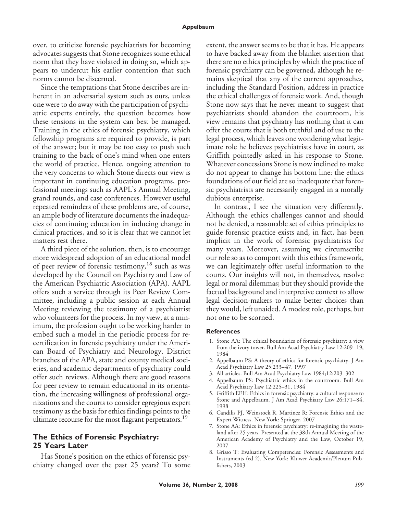#### **Appelbaum**

over, to criticize forensic psychiatrists for becoming advocates suggests that Stone recognizes some ethical norm that they have violated in doing so, which appears to undercut his earlier contention that such norms cannot be discerned.

Since the temptations that Stone describes are inherent in an adversarial system such as ours, unless one were to do away with the participation of psychiatric experts entirely, the question becomes how these tensions in the system can best be managed. Training in the ethics of forensic psychiatry, which fellowship programs are required to provide, is part of the answer; but it may be too easy to push such training to the back of one's mind when one enters the world of practice. Hence, ongoing attention to the very concerns to which Stone directs our view is important in continuing education programs, professional meetings such as AAPL's Annual Meeting, grand rounds, and case conferences. However useful repeated reminders of these problems are, of course, an ample body of literature documents the inadequacies of continuing education in inducing change in clinical practices, and so it is clear that we cannot let matters rest there.

A third piece of the solution, then, is to encourage more widespread adoption of an educational model of peer review of forensic testimony,<sup>18</sup> such as was developed by the Council on Psychiatry and Law of the American Psychiatric Association (APA). AAPL offers such a service through its Peer Review Committee, including a public session at each Annual Meeting reviewing the testimony of a psychiatrist who volunteers for the process. In my view, at a minimum, the profession ought to be working harder to embed such a model in the periodic process for recertification in forensic psychiatry under the American Board of Psychiatry and Neurology. District branches of the APA, state and county medical societies, and academic departments of psychiatry could offer such reviews. Although there are good reasons for peer review to remain educational in its orientation, the increasing willingness of professional organizations and the courts to consider egregious expert testimony as the basis for ethics findings points to the ultimate recourse for the most flagrant perpetrators.<sup>19</sup>

## **The Ethics of Forensic Psychiatry: 25 Years Later**

Has Stone's position on the ethics of forensic psychiatry changed over the past 25 years? To some extent, the answer seems to be that it has. He appears to have backed away from the blanket assertion that there are no ethics principles by which the practice of forensic psychiatry can be governed, although he remains skeptical that any of the current approaches, including the Standard Position, address in practice the ethical challenges of forensic work. And, though Stone now says that he never meant to suggest that psychiatrists should abandon the courtroom, his view remains that psychiatry has nothing that it can offer the courts that is both truthful and of use to the legal process, which leaves one wondering what legitimate role he believes psychiatrists have in court, as Griffith pointedly asked in his response to Stone. Whatever concessions Stone is now inclined to make do not appear to change his bottom line: the ethics foundations of our field are so inadequate that forensic psychiatrists are necessarily engaged in a morally dubious enterprise.

In contrast, I see the situation very differently. Although the ethics challenges cannot and should not be denied, a reasonable set of ethics principles to guide forensic practice exists and, in fact, has been implicit in the work of forensic psychiatrists for many years. Moreover, assuming we circumscribe our role so as to comport with this ethics framework, we can legitimately offer useful information to the courts. Our insights will not, in themselves, resolve legal or moral dilemmas; but they should provide the factual background and interpretive context to allow legal decision-makers to make better choices than they would, left unaided. A modest role, perhaps, but not one to be scorned.

#### **References**

- 1. Stone AA: The ethical boundaries of forensic psychiatry: a view from the ivory tower. Bull Am Acad Psychiatry Law 12:209 –19, 1984
- 2. Appelbaum PS: A theory of ethics for forensic psychiatry. J Am Acad Psychiatry Law 25:233– 47, 1997
- 3. All articles. Bull Am Acad Psychiatry Law 1984;12:203–302
- 4. Appelbaum PS: Psychiatric ethics in the courtroom. Bull Am Acad Psychiatry Law 12:225–31, 1984
- 5. Griffith EEH: Ethics in forensic psychiatry: a cultural response to Stone and Appelbaum. J Am Acad Psychiatry Law 26:171-84, 1998
- 6. Candilis PJ, Weinstock R, Martinez R: Forensic Ethics and the Expert Witness. New York: Springer, 2007
- 7. Stone AA: Ethics in forensic psychiatry: re-imagining the wasteland after 25 years. Presented at the 38th Annual Meeting of the American Academy of Psychiatry and the Law, October 19, 2007
- 8. Grisso T: Evaluating Competencies: Forensic Assessments and Instruments (ed 2). New York: Kluwer Academic/Plenum Publishers, 2003